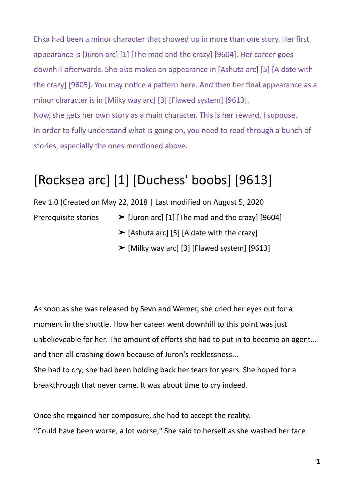Ehka had been a minor character that showed up in more than one story. Her first appearance is [Juron arc] [1] [The mad and the crazy] [9604]. Her career goes downhill afterwards. She also makes an appearance in [Ashuta arc] [5] [A date with the crazy] [9605]. You may notice a pattern here. And then her final appearance as a minor character is in [Milky way arc] [3] [Flawed system] [9613]. Now, she gets her own story as a main character. This is her reward, I suppose. In order to fully understand what is going on, you need to read through a bunch of stories, especially the ones mentioned above.

## [Rocksea arc] [1] [Duchess' boobs] [9613]

Rev 1.0 (Created on May 22, 2018 | Last modified on August 5, 2020

- Prerequisite stories  $\triangleright$  [Juron arc] [1] [The mad and the crazy] [9604]
	- $\blacktriangleright$  [Ashuta arc] [5] [A date with the crazy]
	- $\blacktriangleright$  [Milky way arc] [3] [Flawed system] [9613]

As soon as she was released by Sevn and Wemer, she cried her eyes out for a moment in the shuttle. How her career went downhill to this point was just unbelieveable for her. The amount of efforts she had to put in to become an agent... and then all crashing down because of Juron's recklessness... She had to cry; she had been holding back her tears for years. She hoped for a

Once she regained her composure, she had to accept the reality.

breakthrough that never came. It was about time to cry indeed.

"Could have been worse, a lot worse," She said to herself as she washed her face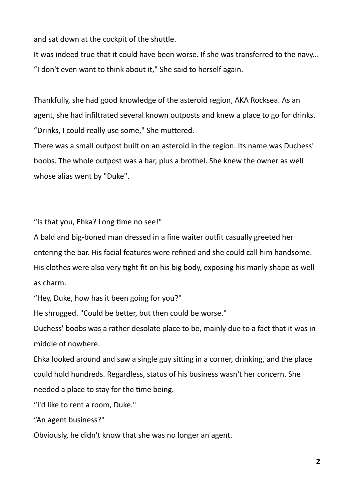and sat down at the cockpit of the shuttle.

It was indeed true that it could have been worse. If she was transferred to the navy... "I don't even want to think about it," She said to herself again.

Thankfully, she had good knowledge of the asteroid region, AKA Rocksea. As an agent, she had infiltrated several known outposts and knew a place to go for drinks. "Drinks, I could really use some," She muttered.

There was a small outpost built on an asteroid in the region. Its name was Duchess' boobs. The whole outpost was a bar, plus a brothel. She knew the owner as well whose alias went by "Duke".

"Is that you, Ehka? Long time no see!"

A bald and big-boned man dressed in a fine waiter outfit casually greeted her entering the bar. His facial features were refined and she could call him handsome. His clothes were also very tight fit on his big body, exposing his manly shape as well as charm.

"Hey, Duke, how has it been going for you?"

He shrugged. "Could be better, but then could be worse."

Duchess' boobs was a rather desolate place to be, mainly due to a fact that it was in middle of nowhere.

Ehka looked around and saw a single guy sitting in a corner, drinking, and the place could hold hundreds. Regardless, status of his business wasn't her concern. She needed a place to stay for the time being.

"I'd like to rent a room, Duke."

"An agent business?"

Obviously, he didn't know that she was no longer an agent.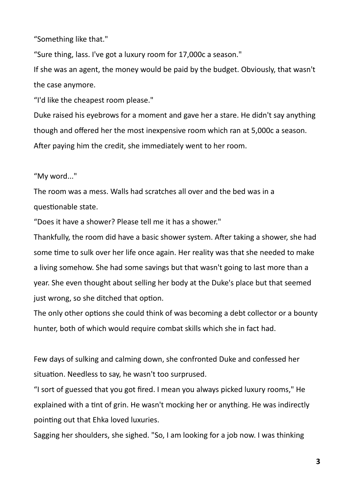"Something like that."

"Sure thing, lass. I've got a luxury room for 17,000c a season."

If she was an agent, the money would be paid by the budget. Obviously, that wasn't the case anymore.

"I'd like the cheapest room please."

Duke raised his eyebrows for a moment and gave her a stare. He didn't say anything though and offered her the most inexpensive room which ran at 5,000c a season. After paying him the credit, she immediately went to her room.

"My word..."

The room was a mess. Walls had scratches all over and the bed was in a questionable state.

"Does it have a shower? Please tell me it has a shower."

Thankfully, the room did have a basic shower system. After taking a shower, she had some time to sulk over her life once again. Her reality was that she needed to make a living somehow. She had some savings but that wasn't going to last more than a year. She even thought about selling her body at the Duke's place but that seemed just wrong, so she ditched that option.

The only other options she could think of was becoming a debt collector or a bounty hunter, both of which would require combat skills which she in fact had.

Few days of sulking and calming down, she confronted Duke and confessed her situation. Needless to say, he wasn't too surprused.

"I sort of guessed that you got fired. I mean you always picked luxury rooms," He explained with a tint of grin. He wasn't mocking her or anything. He was indirectly pointing out that Ehka loved luxuries.

Sagging her shoulders, she sighed. "So, I am looking for a job now. I was thinking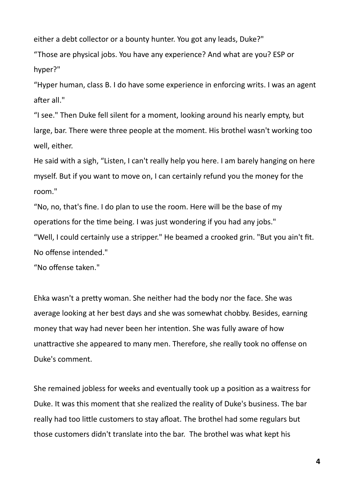either a debt collector or a bounty hunter. You got any leads, Duke?"

"Those are physical jobs. You have any experience? And what are you? ESP or hyper?"

"Hyper human, class B. I do have some experience in enforcing writs. I was an agent after all."

"I see." Then Duke fell silent for a moment, looking around his nearly empty, but large, bar. There were three people at the moment. His brothel wasn't working too well, either.

He said with a sigh, "Listen, I can't really help you here. I am barely hanging on here myself. But if you want to move on, I can certainly refund you the money for the room."

"No, no, that's fine. I do plan to use the room. Here will be the base of my operations for the time being. I was just wondering if you had any jobs." "Well, I could certainly use a stripper." He beamed a crooked grin. "But you ain't fit. No offense intended."

"No offense taken."

Ehka wasn't a pretty woman. She neither had the body nor the face. She was average looking at her best days and she was somewhat chobby. Besides, earning money that way had never been her intention. She was fully aware of how unattractive she appeared to many men. Therefore, she really took no offense on Duke's comment.

She remained jobless for weeks and eventually took up a position as a waitress for Duke. It was this moment that she realized the reality of Duke's business. The bar really had too little customers to stay afloat. The brothel had some regulars but those customers didn't translate into the bar. The brothel was what kept his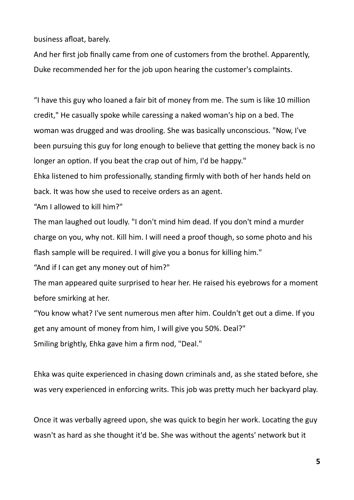business afloat, barely.

And her first job finally came from one of customers from the brothel. Apparently, Duke recommended her for the job upon hearing the customer's complaints.

"I have this guy who loaned a fair bit of money from me. The sum is like 10 million credit," He casually spoke while caressing a naked woman's hip on a bed. The woman was drugged and was drooling. She was basically unconscious. "Now, I've been pursuing this guy for long enough to believe that getting the money back is no longer an option. If you beat the crap out of him, I'd be happy."

Ehka listened to him professionally, standing firmly with both of her hands held on back. It was how she used to receive orders as an agent.

"Am I allowed to kill him?"

The man laughed out loudly. "I don't mind him dead. If you don't mind a murder charge on you, why not. Kill him. I will need a proof though, so some photo and his flash sample will be required. I will give you a bonus for killing him."

"And if I can get any money out of him?"

The man appeared quite surprised to hear her. He raised his eyebrows for a moment before smirking at her.

"You know what? I've sent numerous men after him. Couldn't get out a dime. If you get any amount of money from him, I will give you 50%. Deal?" Smiling brightly, Ehka gave him a firm nod, "Deal."

Ehka was quite experienced in chasing down criminals and, as she stated before, she was very experienced in enforcing writs. This job was pretty much her backyard play.

Once it was verbally agreed upon, she was quick to begin her work. Locating the guy wasn't as hard as she thought it'd be. She was without the agents' network but it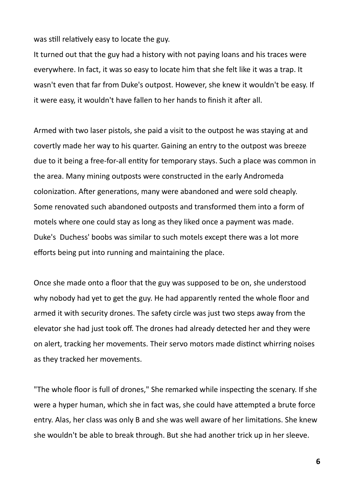was still relatively easy to locate the guy.

It turned out that the guy had a history with not paying loans and his traces were everywhere. In fact, it was so easy to locate him that she felt like it was a trap. It wasn't even that far from Duke's outpost. However, she knew it wouldn't be easy. If it were easy, it wouldn't have fallen to her hands to finish it after all.

Armed with two laser pistols, she paid a visit to the outpost he was staying at and covertly made her way to his quarter. Gaining an entry to the outpost was breeze due to it being a free-for-all entity for temporary stays. Such a place was common in the area. Many mining outposts were constructed in the early Andromeda colonization. After generations, many were abandoned and were sold cheaply. Some renovated such abandoned outposts and transformed them into a form of motels where one could stay as long as they liked once a payment was made. Duke's Duchess' boobs was similar to such motels except there was a lot more efforts being put into running and maintaining the place.

Once she made onto a floor that the guy was supposed to be on, she understood why nobody had yet to get the guy. He had apparently rented the whole floor and armed it with security drones. The safety circle was just two steps away from the elevator she had just took off. The drones had already detected her and they were on alert, tracking her movements. Their servo motors made distinct whirring noises as they tracked her movements.

"The whole floor is full of drones," She remarked while inspecting the scenary. If she were a hyper human, which she in fact was, she could have attempted a brute force entry. Alas, her class was only B and she was well aware of her limitations. She knew she wouldn't be able to break through. But she had another trick up in her sleeve.

**6**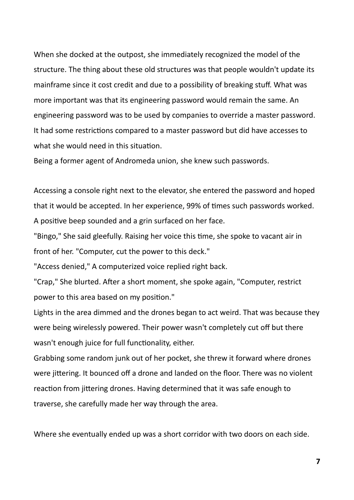When she docked at the outpost, she immediately recognized the model of the structure. The thing about these old structures was that people wouldn't update its mainframe since it cost credit and due to a possibility of breaking stuff. What was more important was that its engineering password would remain the same. An engineering password was to be used by companies to override a master password. It had some restrictions compared to a master password but did have accesses to what she would need in this situation.

Being a former agent of Andromeda union, she knew such passwords.

Accessing a console right next to the elevator, she entered the password and hoped that it would be accepted. In her experience, 99% of times such passwords worked. A positive beep sounded and a grin surfaced on her face.

"Bingo," She said gleefully. Raising her voice this time, she spoke to vacant air in front of her. "Computer, cut the power to this deck."

"Access denied," A computerized voice replied right back.

"Crap," She blurted. After a short moment, she spoke again, "Computer, restrict power to this area based on my position."

Lights in the area dimmed and the drones began to act weird. That was because they were being wirelessly powered. Their power wasn't completely cut off but there wasn't enough juice for full functionality, either.

Grabbing some random junk out of her pocket, she threw it forward where drones were jittering. It bounced off a drone and landed on the floor. There was no violent reaction from jittering drones. Having determined that it was safe enough to traverse, she carefully made her way through the area.

Where she eventually ended up was a short corridor with two doors on each side.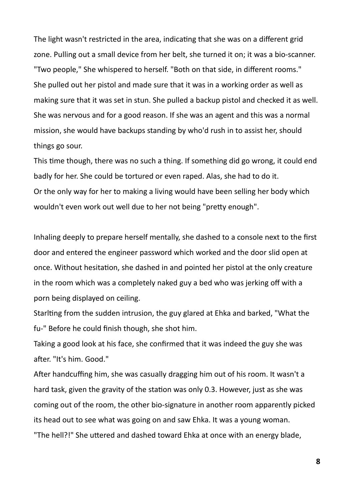The light wasn't restricted in the area, indicating that she was on a different grid zone. Pulling out a small device from her belt, she turned it on; it was a bio-scanner. "Two people," She whispered to herself. "Both on that side, in different rooms." She pulled out her pistol and made sure that it was in a working order as well as making sure that it was set in stun. She pulled a backup pistol and checked it as well. She was nervous and for a good reason. If she was an agent and this was a normal mission, she would have backups standing by who'd rush in to assist her, should things go sour.

This time though, there was no such a thing. If something did go wrong, it could end badly for her. She could be tortured or even raped. Alas, she had to do it. Or the only way for her to making a living would have been selling her body which wouldn't even work out well due to her not being "pretty enough".

Inhaling deeply to prepare herself mentally, she dashed to a console next to the first door and entered the engineer password which worked and the door slid open at once. Without hesitation, she dashed in and pointed her pistol at the only creature in the room which was a completely naked guy a bed who was jerking off with a porn being displayed on ceiling.

Starlting from the sudden intrusion, the guy glared at Ehka and barked, "What the fu-" Before he could finish though, she shot him.

Taking a good look at his face, she confirmed that it was indeed the guy she was after. "It's him. Good."

After handcuffing him, she was casually dragging him out of his room. It wasn't a hard task, given the gravity of the station was only 0.3. However, just as she was coming out of the room, the other bio-signature in another room apparently picked its head out to see what was going on and saw Ehka. It was a young woman. "The hell?!" She uttered and dashed toward Ehka at once with an energy blade,

**8**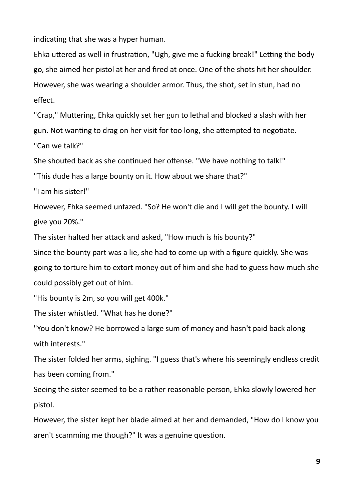indicating that she was a hyper human.

Ehka uttered as well in frustration, "Ugh, give me a fucking break!" Letting the body go, she aimed her pistol at her and fired at once. One of the shots hit her shoulder. However, she was wearing a shoulder armor. Thus, the shot, set in stun, had no effect.

"Crap," Muttering, Ehka quickly set her gun to lethal and blocked a slash with her gun. Not wanting to drag on her visit for too long, she attempted to negotiate. "Can we talk?"

She shouted back as she continued her offense. "We have nothing to talk!"

"This dude has a large bounty on it. How about we share that?"

"I am his sister!"

However, Ehka seemed unfazed. "So? He won't die and I will get the bounty. I will give you 20%."

The sister halted her attack and asked, "How much is his bounty?"

Since the bounty part was a lie, she had to come up with a figure quickly. She was going to torture him to extort money out of him and she had to guess how much she could possibly get out of him.

"His bounty is 2m, so you will get 400k."

The sister whistled. "What has he done?"

"You don't know? He borrowed a large sum of money and hasn't paid back along with interests."

The sister folded her arms, sighing. "I guess that's where his seemingly endless credit has been coming from."

Seeing the sister seemed to be a rather reasonable person, Ehka slowly lowered her pistol.

However, the sister kept her blade aimed at her and demanded, "How do I know you aren't scamming me though?" It was a genuine question.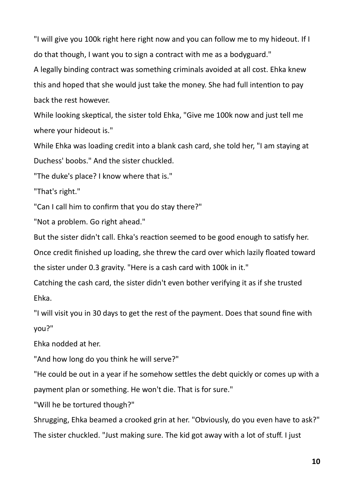"I will give you 100k right here right now and you can follow me to my hideout. If I do that though, I want you to sign a contract with me as a bodyguard."

A legally binding contract was something criminals avoided at all cost. Ehka knew this and hoped that she would just take the money. She had full intention to pay back the rest however.

While looking skeptical, the sister told Ehka, "Give me 100k now and just tell me where your hideout is."

While Ehka was loading credit into a blank cash card, she told her, "I am staying at Duchess' boobs." And the sister chuckled.

"The duke's place? I know where that is."

"That's right."

"Can I call him to confirm that you do stay there?"

"Not a problem. Go right ahead."

But the sister didn't call. Ehka's reaction seemed to be good enough to satisfy her.

Once credit finished up loading, she threw the card over which lazily floated toward the sister under 0.3 gravity. "Here is a cash card with 100k in it."

Catching the cash card, the sister didn't even bother verifying it as if she trusted Ehka.

"I will visit you in 30 days to get the rest of the payment. Does that sound fine with you?"

Ehka nodded at her.

"And how long do you think he will serve?"

"He could be out in a year if he somehow settles the debt quickly or comes up with a payment plan or something. He won't die. That is for sure."

"Will he be tortured though?"

Shrugging, Ehka beamed a crooked grin at her. "Obviously, do you even have to ask?" The sister chuckled. "Just making sure. The kid got away with a lot of stuff. I just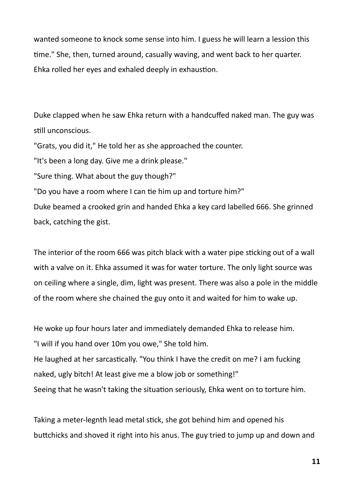wanted someone to knock some sense into him. I guess he will learn a lession this time." She, then, turned around, casually waving, and went back to her quarter. Ehka rolled her eyes and exhaled deeply in exhaustion.

Duke clapped when he saw Ehka return with a handcuffed naked man. The guy was still unconscious.

"Grats, you did it," He told her as she approached the counter.

"It's been a long day. Give me a drink please."

"Sure thing. What about the guy though?"

"Do you have a room where I can tie him up and torture him?"

Duke beamed a crooked grin and handed Ehka a key card labelled 666. She grinned back, catching the gist.

The interior of the room 666 was pitch black with a water pipe sticking out of a wall with a valve on it. Ehka assumed it was for water torture. The only light source was on ceiling where a single, dim, light was present. There was also a pole in the middle of the room where she chained the guy onto it and waited for him to wake up.

He woke up four hours later and immediately demanded Ehka to release him. "I will if you hand over 10m you owe," She told him. He laughed at her sarcastically. "You think I have the credit on me? I am fucking naked, ugly bitch! At least give me a blow job or something!" Seeing that he wasn't taking the situation seriously, Ehka went on to torture him.

Taking a meter-legnth lead metal stick, she got behind him and opened his buttchicks and shoved it right into his anus. The guy tried to jump up and down and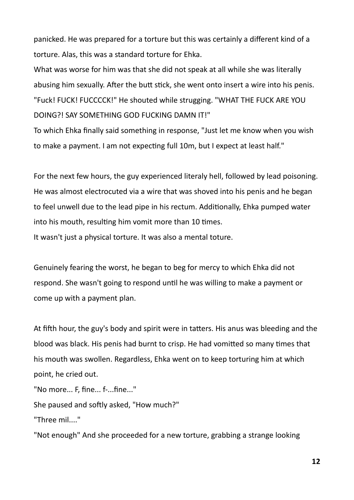panicked. He was prepared for a torture but this was certainly a different kind of a torture. Alas, this was a standard torture for Ehka.

What was worse for him was that she did not speak at all while she was literally abusing him sexually. After the butt stick, she went onto insert a wire into his penis. "Fuck! FUCK! FUCCCCK!" He shouted while strugging. "WHAT THE FUCK ARE YOU DOING?! SAY SOMETHING GOD FUCKING DAMN IT!"

To which Ehka finally said something in response, "Just let me know when you wish to make a payment. I am not expecting full 10m, but I expect at least half."

For the next few hours, the guy experienced literaly hell, followed by lead poisoning. He was almost electrocuted via a wire that was shoved into his penis and he began to feel unwell due to the lead pipe in his rectum. Additionally, Ehka pumped water into his mouth, resulting him vomit more than 10 times. It wasn't just a physical torture. It was also a mental toture.

Genuinely fearing the worst, he began to beg for mercy to which Ehka did not respond. She wasn't going to respond until he was willing to make a payment or come up with a payment plan.

At fifth hour, the guy's body and spirit were in tatters. His anus was bleeding and the blood was black. His penis had burnt to crisp. He had vomitted so many times that his mouth was swollen. Regardless, Ehka went on to keep torturing him at which point, he cried out.

"No more... F, fine... f-...fine..."

She paused and softly asked, "How much?"

"Three mil...."

"Not enough" And she proceeded for a new torture, grabbing a strange looking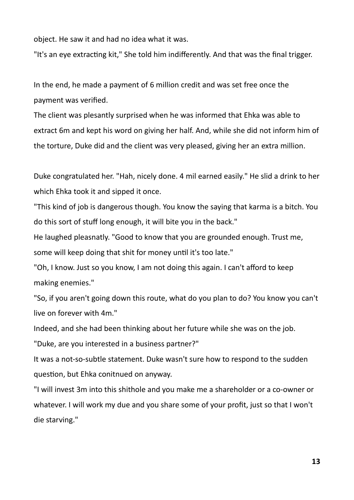object. He saw it and had no idea what it was.

"It's an eye extracting kit," She told him indifferently. And that was the final trigger.

In the end, he made a payment of 6 million credit and was set free once the payment was verified.

The client was plesantly surprised when he was informed that Ehka was able to extract 6m and kept his word on giving her half. And, while she did not inform him of the torture, Duke did and the client was very pleased, giving her an extra million.

Duke congratulated her. "Hah, nicely done. 4 mil earned easily." He slid a drink to her which Ehka took it and sipped it once.

"This kind of job is dangerous though. You know the saying that karma is a bitch. You do this sort of stuff long enough, it will bite you in the back."

He laughed pleasnatly. "Good to know that you are grounded enough. Trust me, some will keep doing that shit for money until it's too late."

"Oh, I know. Just so you know, I am not doing this again. I can't afford to keep making enemies."

"So, if you aren't going down this route, what do you plan to do? You know you can't live on forever with 4m."

Indeed, and she had been thinking about her future while she was on the job.

"Duke, are you interested in a business partner?"

It was a not-so-subtle statement. Duke wasn't sure how to respond to the sudden question, but Ehka conitnued on anyway.

"I will invest 3m into this shithole and you make me a shareholder or a co-owner or whatever. I will work my due and you share some of your profit, just so that I won't die starving."